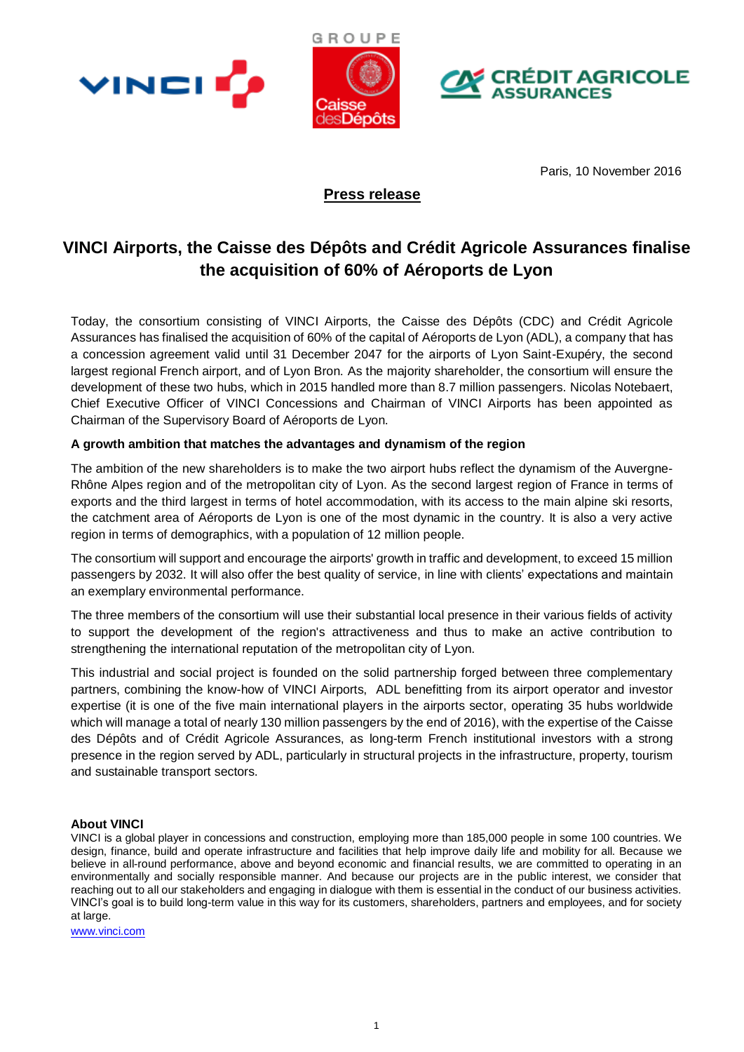





Paris, 10 November 2016

## **Press release**

# **VINCI Airports, the Caisse des Dépôts and Crédit Agricole Assurances finalise the acquisition of 60% of Aéroports de Lyon**

Today, the consortium consisting of VINCI Airports, the Caisse des Dépôts (CDC) and Crédit Agricole Assurances has finalised the acquisition of 60% of the capital of Aéroports de Lyon (ADL), a company that has a concession agreement valid until 31 December 2047 for the airports of Lyon Saint-Exupéry, the second largest regional French airport, and of Lyon Bron. As the majority shareholder, the consortium will ensure the development of these two hubs, which in 2015 handled more than 8.7 million passengers. Nicolas Notebaert, Chief Executive Officer of VINCI Concessions and Chairman of VINCI Airports has been appointed as Chairman of the Supervisory Board of Aéroports de Lyon.

## **A growth ambition that matches the advantages and dynamism of the region**

The ambition of the new shareholders is to make the two airport hubs reflect the dynamism of the Auvergne-Rhône Alpes region and of the metropolitan city of Lyon. As the second largest region of France in terms of exports and the third largest in terms of hotel accommodation, with its access to the main alpine ski resorts, the catchment area of Aéroports de Lyon is one of the most dynamic in the country. It is also a very active region in terms of demographics, with a population of 12 million people.

The consortium will support and encourage the airports' growth in traffic and development, to exceed 15 million passengers by 2032. It will also offer the best quality of service, in line with clients' expectations and maintain an exemplary environmental performance.

The three members of the consortium will use their substantial local presence in their various fields of activity to support the development of the region's attractiveness and thus to make an active contribution to strengthening the international reputation of the metropolitan city of Lyon.

This industrial and social project is founded on the solid partnership forged between three complementary partners, combining the know-how of VINCI Airports, ADL benefitting from its airport operator and investor expertise (it is one of the five main international players in the airports sector, operating 35 hubs worldwide which will manage a total of nearly 130 million passengers by the end of 2016), with the expertise of the Caisse des Dépôts and of Crédit Agricole Assurances, as long-term French institutional investors with a strong presence in the region served by ADL, particularly in structural projects in the infrastructure, property, tourism and sustainable transport sectors.

## **About VINCI**

VINCI is a global player in concessions and construction, employing more than 185,000 people in some 100 countries. We design, finance, build and operate infrastructure and facilities that help improve daily life and mobility for all. Because we believe in all-round performance, above and beyond economic and financial results, we are committed to operating in an environmentally and socially responsible manner. And because our projects are in the public interest, we consider that reaching out to all our stakeholders and engaging in dialogue with them is essential in the conduct of our business activities. VINCI's goal is to build long-term value in this way for its customers, shareholders, partners and employees, and for society at large.

[www.vinci.com](http://www.vinci.com/)